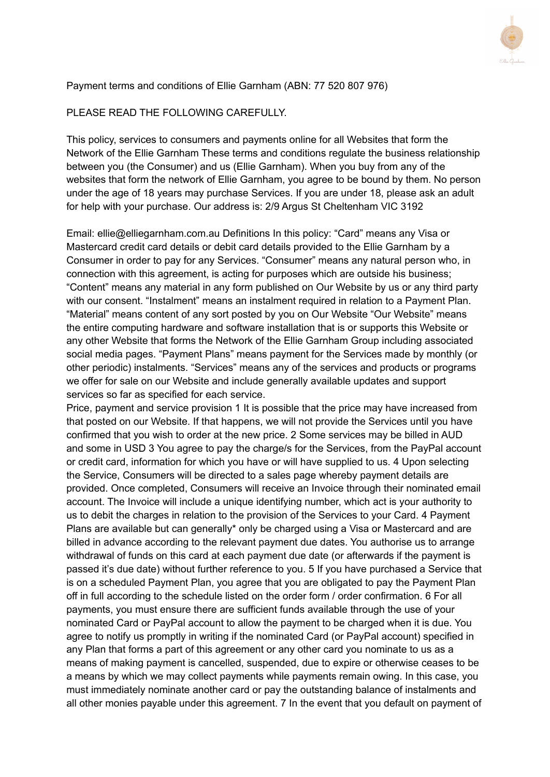

### Payment terms and conditions of Ellie Garnham (ABN: 77 520 807 976)

#### PLEASE READ THE FOLLOWING CAREFULLY.

This policy, services to consumers and payments online for all Websites that form the Network of the Ellie Garnham These terms and conditions regulate the business relationship between you (the Consumer) and us (Ellie Garnham). When you buy from any of the websites that form the network of Ellie Garnham, you agree to be bound by them. No person under the age of 18 years may purchase Services. If you are under 18, please ask an adult for help with your purchase. Our address is: 2/9 Argus St Cheltenham VIC 3192

Email: ellie@elliegarnham.com.au Definitions In this policy: "Card" means any Visa or Mastercard credit card details or debit card details provided to the Ellie Garnham by a Consumer in order to pay for any Services. "Consumer" means any natural person who, in connection with this agreement, is acting for purposes which are outside his business; "Content" means any material in any form published on Our Website by us or any third party with our consent. "Instalment" means an instalment required in relation to a Payment Plan. "Material" means content of any sort posted by you on Our Website "Our Website" means the entire computing hardware and software installation that is or supports this Website or any other Website that forms the Network of the Ellie Garnham Group including associated social media pages. "Payment Plans" means payment for the Services made by monthly (or other periodic) instalments. "Services" means any of the services and products or programs we offer for sale on our Website and include generally available updates and support services so far as specified for each service.

Price, payment and service provision 1 It is possible that the price may have increased from that posted on our Website. If that happens, we will not provide the Services until you have confirmed that you wish to order at the new price. 2 Some services may be billed in AUD and some in USD 3 You agree to pay the charge/s for the Services, from the PayPal account or credit card, information for which you have or will have supplied to us. 4 Upon selecting the Service, Consumers will be directed to a sales page whereby payment details are provided. Once completed, Consumers will receive an Invoice through their nominated email account. The Invoice will include a unique identifying number, which act is your authority to us to debit the charges in relation to the provision of the Services to your Card. 4 Payment Plans are available but can generally\* only be charged using a Visa or Mastercard and are billed in advance according to the relevant payment due dates. You authorise us to arrange withdrawal of funds on this card at each payment due date (or afterwards if the payment is passed it's due date) without further reference to you. 5 If you have purchased a Service that is on a scheduled Payment Plan, you agree that you are obligated to pay the Payment Plan off in full according to the schedule listed on the order form / order confirmation. 6 For all payments, you must ensure there are sufficient funds available through the use of your nominated Card or PayPal account to allow the payment to be charged when it is due. You agree to notify us promptly in writing if the nominated Card (or PayPal account) specified in any Plan that forms a part of this agreement or any other card you nominate to us as a means of making payment is cancelled, suspended, due to expire or otherwise ceases to be a means by which we may collect payments while payments remain owing. In this case, you must immediately nominate another card or pay the outstanding balance of instalments and all other monies payable under this agreement. 7 In the event that you default on payment of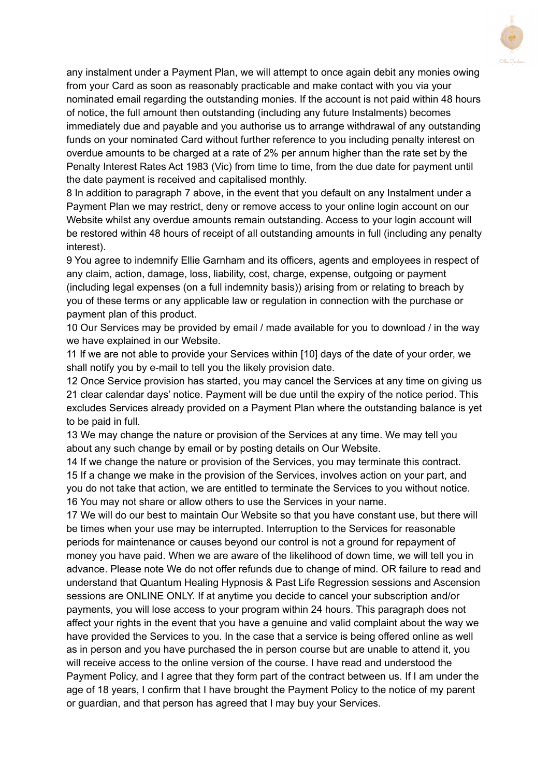

any instalment under a Payment Plan, we will attempt to once again debit any monies owing from your Card as soon as reasonably practicable and make contact with you via your nominated email regarding the outstanding monies. If the account is not paid within 48 hours of notice, the full amount then outstanding (including any future Instalments) becomes immediately due and payable and you authorise us to arrange withdrawal of any outstanding funds on your nominated Card without further reference to you including penalty interest on overdue amounts to be charged at a rate of 2% per annum higher than the rate set by the Penalty Interest Rates Act 1983 (Vic) from time to time, from the due date for payment until the date payment is received and capitalised monthly.

8 In addition to paragraph 7 above, in the event that you default on any Instalment under a Payment Plan we may restrict, deny or remove access to your online login account on our Website whilst any overdue amounts remain outstanding. Access to your login account will be restored within 48 hours of receipt of all outstanding amounts in full (including any penalty interest).

9 You agree to indemnify Ellie Garnham and its officers, agents and employees in respect of any claim, action, damage, loss, liability, cost, charge, expense, outgoing or payment (including legal expenses (on a full indemnity basis)) arising from or relating to breach by you of these terms or any applicable law or regulation in connection with the purchase or payment plan of this product.

10 Our Services may be provided by email / made available for you to download / in the way we have explained in our Website.

11 If we are not able to provide your Services within [10] days of the date of your order, we shall notify you by e-mail to tell you the likely provision date.

12 Once Service provision has started, you may cancel the Services at any time on giving us 21 clear calendar days' notice. Payment will be due until the expiry of the notice period. This excludes Services already provided on a Payment Plan where the outstanding balance is yet to be paid in full.

13 We may change the nature or provision of the Services at any time. We may tell you about any such change by email or by posting details on Our Website.

 If we change the nature or provision of the Services, you may terminate this contract. If a change we make in the provision of the Services, involves action on your part, and you do not take that action, we are entitled to terminate the Services to you without notice. You may not share or allow others to use the Services in your name.

17 We will do our best to maintain Our Website so that you have constant use, but there will be times when your use may be interrupted. Interruption to the Services for reasonable periods for maintenance or causes beyond our control is not a ground for repayment of money you have paid. When we are aware of the likelihood of down time, we will tell you in advance. Please note We do not offer refunds due to change of mind. OR failure to read and understand that Quantum Healing Hypnosis & Past Life Regression sessions and Ascension sessions are ONLINE ONLY. If at anytime you decide to cancel your subscription and/or payments, you will lose access to your program within 24 hours. This paragraph does not affect your rights in the event that you have a genuine and valid complaint about the way we have provided the Services to you. In the case that a service is being offered online as well as in person and you have purchased the in person course but are unable to attend it, you will receive access to the online version of the course. I have read and understood the Payment Policy, and I agree that they form part of the contract between us. If I am under the age of 18 years, I confirm that I have brought the Payment Policy to the notice of my parent or guardian, and that person has agreed that I may buy your Services.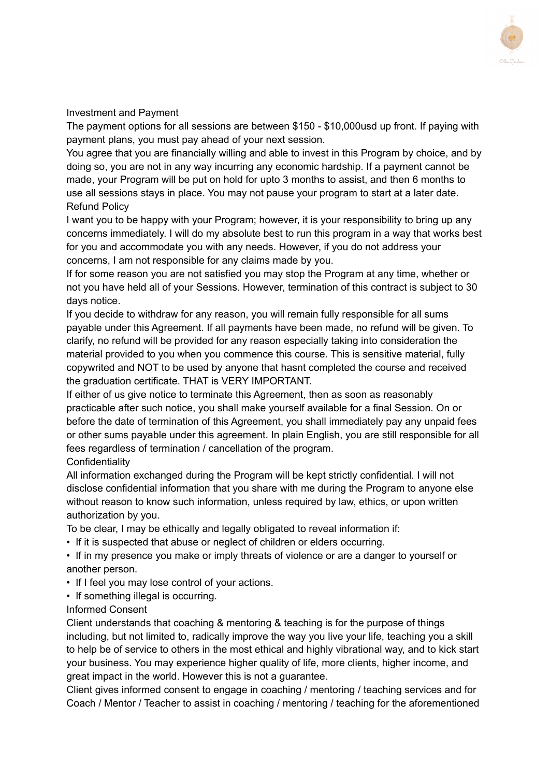

# Investment and Payment

The payment options for all sessions are between \$150 - \$10,000usd up front. If paying with payment plans, you must pay ahead of your next session.

You agree that you are financially willing and able to invest in this Program by choice, and by doing so, you are not in any way incurring any economic hardship. If a payment cannot be made, your Program will be put on hold for upto 3 months to assist, and then 6 months to use all sessions stays in place. You may not pause your program to start at a later date. Refund Policy

I want you to be happy with your Program; however, it is your responsibility to bring up any concerns immediately. I will do my absolute best to run this program in a way that works best for you and accommodate you with any needs. However, if you do not address your concerns, I am not responsible for any claims made by you.

If for some reason you are not satisfied you may stop the Program at any time, whether or not you have held all of your Sessions. However, termination of this contract is subject to 30 days notice.

If you decide to withdraw for any reason, you will remain fully responsible for all sums payable under this Agreement. If all payments have been made, no refund will be given. To clarify, no refund will be provided for any reason especially taking into consideration the material provided to you when you commence this course. This is sensitive material, fully copywrited and NOT to be used by anyone that hasnt completed the course and received the graduation certificate. THAT is VERY IMPORTANT.

If either of us give notice to terminate this Agreement, then as soon as reasonably practicable after such notice, you shall make yourself available for a final Session. On or before the date of termination of this Agreement, you shall immediately pay any unpaid fees or other sums payable under this agreement. In plain English, you are still responsible for all fees regardless of termination / cancellation of the program.

**Confidentiality** 

All information exchanged during the Program will be kept strictly confidential. I will not disclose confidential information that you share with me during the Program to anyone else without reason to know such information, unless required by law, ethics, or upon written authorization by you.

To be clear, I may be ethically and legally obligated to reveal information if:

• If it is suspected that abuse or neglect of children or elders occurring.

• If in my presence you make or imply threats of violence or are a danger to yourself or another person.

- If I feel you may lose control of your actions.
- If something illegal is occurring.

### Informed Consent

Client understands that coaching & mentoring & teaching is for the purpose of things including, but not limited to, radically improve the way you live your life, teaching you a skill to help be of service to others in the most ethical and highly vibrational way, and to kick start your business. You may experience higher quality of life, more clients, higher income, and great impact in the world. However this is not a guarantee.

Client gives informed consent to engage in coaching / mentoring / teaching services and for Coach / Mentor / Teacher to assist in coaching / mentoring / teaching for the aforementioned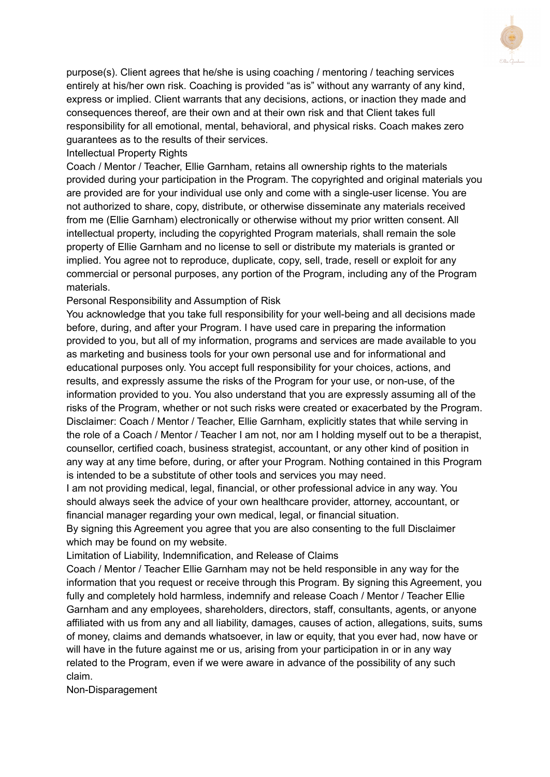

purpose(s). Client agrees that he/she is using coaching / mentoring / teaching services entirely at his/her own risk. Coaching is provided "as is" without any warranty of any kind, express or implied. Client warrants that any decisions, actions, or inaction they made and consequences thereof, are their own and at their own risk and that Client takes full responsibility for all emotional, mental, behavioral, and physical risks. Coach makes zero guarantees as to the results of their services.

## Intellectual Property Rights

Coach / Mentor / Teacher, Ellie Garnham, retains all ownership rights to the materials provided during your participation in the Program. The copyrighted and original materials you are provided are for your individual use only and come with a single-user license. You are not authorized to share, copy, distribute, or otherwise disseminate any materials received from me (Ellie Garnham) electronically or otherwise without my prior written consent. All intellectual property, including the copyrighted Program materials, shall remain the sole property of Ellie Garnham and no license to sell or distribute my materials is granted or implied. You agree not to reproduce, duplicate, copy, sell, trade, resell or exploit for any commercial or personal purposes, any portion of the Program, including any of the Program materials.

## Personal Responsibility and Assumption of Risk

You acknowledge that you take full responsibility for your well-being and all decisions made before, during, and after your Program. I have used care in preparing the information provided to you, but all of my information, programs and services are made available to you as marketing and business tools for your own personal use and for informational and educational purposes only. You accept full responsibility for your choices, actions, and results, and expressly assume the risks of the Program for your use, or non-use, of the information provided to you. You also understand that you are expressly assuming all of the risks of the Program, whether or not such risks were created or exacerbated by the Program. Disclaimer: Coach / Mentor / Teacher, Ellie Garnham, explicitly states that while serving in the role of a Coach / Mentor / Teacher I am not, nor am I holding myself out to be a therapist, counsellor, certified coach, business strategist, accountant, or any other kind of position in any way at any time before, during, or after your Program. Nothing contained in this Program is intended to be a substitute of other tools and services you may need.

I am not providing medical, legal, financial, or other professional advice in any way. You should always seek the advice of your own healthcare provider, attorney, accountant, or financial manager regarding your own medical, legal, or financial situation.

By signing this Agreement you agree that you are also consenting to the full Disclaimer which may be found on my website.

Limitation of Liability, Indemnification, and Release of Claims

Coach / Mentor / Teacher Ellie Garnham may not be held responsible in any way for the information that you request or receive through this Program. By signing this Agreement, you fully and completely hold harmless, indemnify and release Coach / Mentor / Teacher Ellie Garnham and any employees, shareholders, directors, staff, consultants, agents, or anyone affiliated with us from any and all liability, damages, causes of action, allegations, suits, sums of money, claims and demands whatsoever, in law or equity, that you ever had, now have or will have in the future against me or us, arising from your participation in or in any way related to the Program, even if we were aware in advance of the possibility of any such claim.

Non-Disparagement